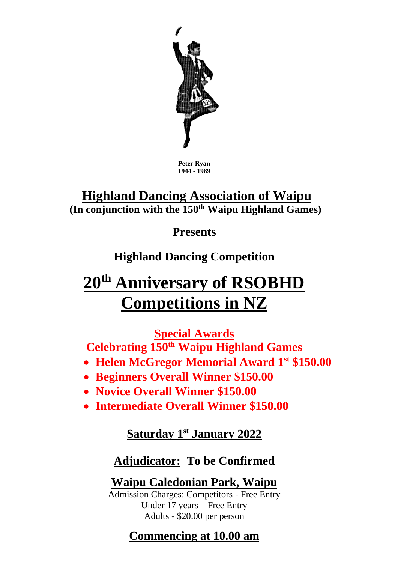

**Peter Ryan 1944 - 1989**

## **Highland Dancing Association of Waipu (In conjunction with the 150th Waipu Highland Games)**

**Presents**

**Highland Dancing Competition**

# **20th Anniversary of RSOBHD Competitions in NZ**

**Special Awards**

**Celebrating 150th Waipu Highland Games**

- **Helen McGregor Memorial Award 1st \$150.00**
- **Beginners Overall Winner \$150.00**
- **Novice Overall Winner \$150.00**
- **Intermediate Overall Winner \$150.00**

**Saturday 1 st January 2022**

### **Adjudicator: To be Confirmed**

**Waipu Caledonian Park, Waipu**

Admission Charges: Competitors - Free Entry Under 17 years – Free Entry Adults - \$20.00 per person

# **Commencing at 10.00 am**